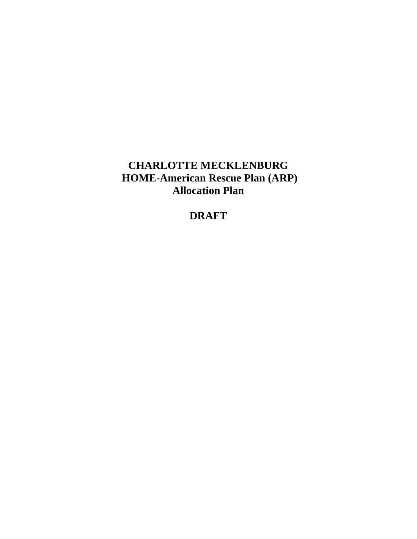# **CHARLOTTE MECKLENBURG HOME-American Rescue Plan (ARP) Allocation Plan**

# **DRAFT**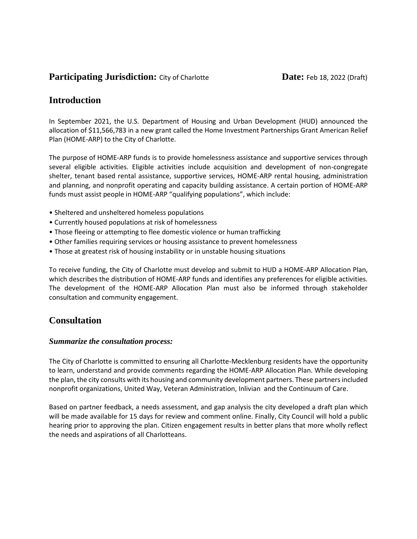## **Participating Jurisdiction:** City of Charlotte **Date:** Feb 18, 2022 (Draft)

# **Introduction**

In September 2021, the U.S. Department of Housing and Urban Development (HUD) announced the allocation of \$11,566,783 in a new grant called the Home Investment Partnerships Grant American Relief Plan (HOME-ARP) to the City of Charlotte.

The purpose of HOME-ARP funds is to provide homelessness assistance and supportive services through several eligible activities. Eligible activities include acquisition and development of non-congregate shelter, tenant based rental assistance, supportive services, HOME-ARP rental housing, administration and planning, and nonprofit operating and capacity building assistance. A certain portion of HOME-ARP funds must assist people in HOME-ARP "qualifying populations", which include:

- Sheltered and unsheltered homeless populations
- Currently housed populations at risk of homelessness
- Those fleeing or attempting to flee domestic violence or human trafficking
- Other families requiring services or housing assistance to prevent homelessness
- Those at greatest risk of housing instability or in unstable housing situations

To receive funding, the City of Charlotte must develop and submit to HUD a HOME-ARP Allocation Plan, which describes the distribution of HOME-ARP funds and identifies any preferences for eligible activities. The development of the HOME-ARP Allocation Plan must also be informed through stakeholder consultation and community engagement.

## **Consultation**

#### *Summarize the consultation process:*

The City of Charlotte is committed to ensuring all Charlotte-Mecklenburg residents have the opportunity to learn, understand and provide comments regarding the HOME-ARP Allocation Plan. While developing the plan, the city consults with its housing and community development partners. These partnersincluded nonprofit organizations, United Way, Veteran Administration, Inlivian and the Continuum of Care.

Based on partner feedback, a needs assessment, and gap analysis the city developed a draft plan which will be made available for 15 days for review and comment online. Finally, City Council will hold a public hearing prior to approving the plan. Citizen engagement results in better plans that more wholly reflect the needs and aspirations of all Charlotteans.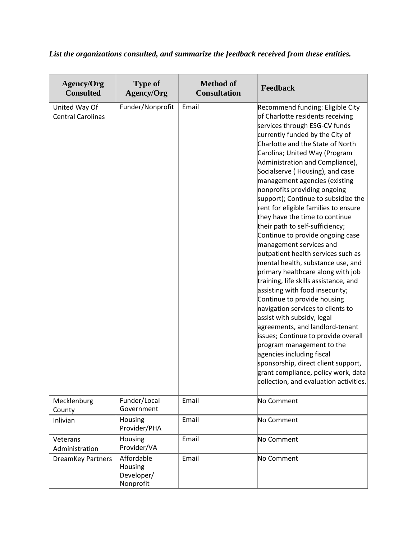# *List the organizations consulted, and summarize the feedback received from these entities.*

| <b>Agency/Org</b><br><b>Consulted</b>     | <b>Type of</b><br><b>Agency/Org</b>              | <b>Method of</b><br><b>Consultation</b> | Feedback                                                                                                                                                                                                                                                                                                                                                                                                                                                                                                                                                                                                                                                                                                                                                                                                                                                                                                                                                                                                                                                                                                                          |  |  |  |  |
|-------------------------------------------|--------------------------------------------------|-----------------------------------------|-----------------------------------------------------------------------------------------------------------------------------------------------------------------------------------------------------------------------------------------------------------------------------------------------------------------------------------------------------------------------------------------------------------------------------------------------------------------------------------------------------------------------------------------------------------------------------------------------------------------------------------------------------------------------------------------------------------------------------------------------------------------------------------------------------------------------------------------------------------------------------------------------------------------------------------------------------------------------------------------------------------------------------------------------------------------------------------------------------------------------------------|--|--|--|--|
| United Way Of<br><b>Central Carolinas</b> | Funder/Nonprofit                                 | Email                                   | Recommend funding: Eligible City<br>of Charlotte residents receiving<br>services through ESG-CV funds<br>currently funded by the City of<br>Charlotte and the State of North<br>Carolina; United Way (Program<br>Administration and Compliance),<br>Socialserve (Housing), and case<br>management agencies (existing<br>nonprofits providing ongoing<br>support); Continue to subsidize the<br>rent for eligible families to ensure<br>they have the time to continue<br>their path to self-sufficiency;<br>Continue to provide ongoing case<br>management services and<br>outpatient health services such as<br>mental health, substance use, and<br>primary healthcare along with job<br>training, life skills assistance, and<br>assisting with food insecurity;<br>Continue to provide housing<br>navigation services to clients to<br>assist with subsidy, legal<br>agreements, and landlord-tenant<br>issues; Continue to provide overall<br>program management to the<br>agencies including fiscal<br>sponsorship, direct client support,<br>grant compliance, policy work, data<br>collection, and evaluation activities. |  |  |  |  |
| Mecklenburg<br>County                     | Funder/Local<br>Government                       | Email                                   | No Comment                                                                                                                                                                                                                                                                                                                                                                                                                                                                                                                                                                                                                                                                                                                                                                                                                                                                                                                                                                                                                                                                                                                        |  |  |  |  |
| Inlivian                                  | Housing<br>Provider/PHA                          | Email                                   | No Comment                                                                                                                                                                                                                                                                                                                                                                                                                                                                                                                                                                                                                                                                                                                                                                                                                                                                                                                                                                                                                                                                                                                        |  |  |  |  |
| Veterans<br>Administration                | Housing<br>Provider/VA                           | Email                                   | No Comment                                                                                                                                                                                                                                                                                                                                                                                                                                                                                                                                                                                                                                                                                                                                                                                                                                                                                                                                                                                                                                                                                                                        |  |  |  |  |
| <b>DreamKey Partners</b>                  | Affordable<br>Housing<br>Developer/<br>Nonprofit | Email                                   | No Comment                                                                                                                                                                                                                                                                                                                                                                                                                                                                                                                                                                                                                                                                                                                                                                                                                                                                                                                                                                                                                                                                                                                        |  |  |  |  |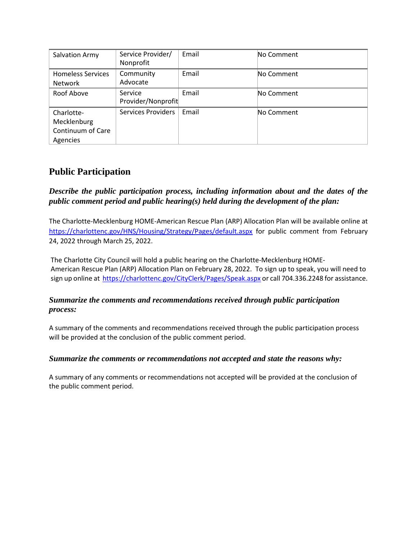| Salvation Army                                             | Service Provider/<br>Nonprofit | Email | No Comment |  |  |
|------------------------------------------------------------|--------------------------------|-------|------------|--|--|
| <b>Homeless Services</b><br><b>Network</b>                 | Community<br>Advocate          | Email | No Comment |  |  |
| Roof Above                                                 | Service<br>Provider/Nonprofit  | Email | No Comment |  |  |
| Charlotte-<br>Mecklenburg<br>Continuum of Care<br>Agencies | <b>Services Providers</b>      | Email | No Comment |  |  |

# **Public Participation**

## *Describe the public participation process, including information about and the dates of the public comment period and public hearing(s) held during the development of the plan:*

The Charlotte-Mecklenburg HOME-American Rescue Plan (ARP) Allocation Plan will be available online at <https://charlottenc.gov/HNS/Housing/Strategy/Pages/default.aspx> for public comment from February 24, 2022 through March 25, 2022.

The Charlotte City Council will hold a public hearing on the Charlotte-Mecklenburg HOME-American Rescue Plan (ARP) Allocation Plan on February 28, 2022. To sign up to speak, you will need to sign up online at<https://charlottenc.gov/CityClerk/Pages/Speak.aspx> or call 704.336.2248 for assistance.

## *Summarize the comments and recommendations received through public participation process:*

A summary of the comments and recommendations received through the public participation process will be provided at the conclusion of the public comment period.

#### *Summarize the comments or recommendations not accepted and state the reasons why:*

A summary of any comments or recommendations not accepted will be provided at the conclusion of the public comment period.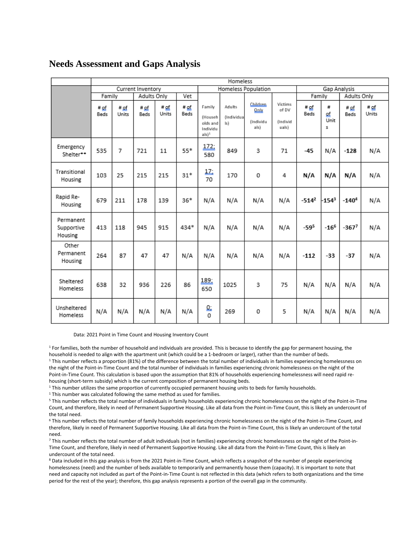#### **Needs Assessment and Gaps Analysis**

|                                    | Homeless          |               |                     |                     |              |                                                                  |                                             |                              |                                       |                     |                      |                     |                      |
|------------------------------------|-------------------|---------------|---------------------|---------------------|--------------|------------------------------------------------------------------|---------------------------------------------|------------------------------|---------------------------------------|---------------------|----------------------|---------------------|----------------------|
|                                    | Current Inventory |               |                     | Homeless Population |              |                                                                  | Gap Analysis                                |                              |                                       |                     |                      |                     |                      |
|                                    | Family            |               | Adults Only         |                     | Vet          |                                                                  |                                             |                              |                                       | Family              |                      | Adults Only         |                      |
|                                    | # of<br>Beds      | # of<br>Units | # of<br><b>Beds</b> | # of<br>Units       | # of<br>Beds | Family<br>(Househ<br>olds and<br>Individu<br>$als)$ <sup>1</sup> | Adults<br>Only<br>(Individua<br>ls)<br>als) | Children<br><i>(Individu</i> | Victims<br>of DV<br>(Individ<br>uals) | # <u>of</u><br>Beds | ₩<br>Ωf<br>Unit<br>5 | # of<br>Beds        | # <u>of</u><br>Units |
| Emergency<br>Shelter**             | 535               | 7             | 721                 | 11                  | $55*$        | 172;<br>580                                                      | 849                                         | 3                            | 71                                    | $-45$               | N/A                  | $-128$              | N/A                  |
| Transitional<br>Housing            | 103               | 25            | 215                 | 215                 | $31*$        | 彑<br>70                                                          | 170                                         | 0                            | 4                                     | N/A                 | N/A                  | N/A                 | N/A                  |
| Rapid Re-<br>Housing               | 679               | 211           | 178                 | 139                 | $36*$        | N/A                                                              | N/A                                         | N/A                          | N/A                                   | $-514^2$            | $-154^{3}$           | $-1404$             | N/A                  |
| Permanent<br>Supportive<br>Housing | 413               | 118           | 945                 | 915                 | 434*         | N/A                                                              | N/A                                         | N/A                          | N/A                                   | $-595$              | $-16^{6}$            | $-367$ <sup>7</sup> | N/A                  |
| Other<br>Permanent<br>Housing      | 264               | 87            | 47                  | 47                  | N/A          | N/A                                                              | N/A                                         | N/A                          | N/A                                   | $-112$              | $-33$                | $-37$               | N/A                  |
| Sheltered<br>Homeless              | 638               | 32            | 936                 | 226                 | 86           | 189;<br>650                                                      | 1025                                        | 3                            | 75                                    | N/A                 | N/A                  | N/A                 | N/A                  |
| Unsheltered<br>Homeless            | N/A               | N/A           | N/A                 | N/A                 | N/A          | ₫<br>O                                                           | 269                                         | 0                            | 5                                     | N/A                 | N/A                  | N/A                 | N/A                  |

Data: 2021 Point in Time Count and Housing Inventory Count

<sup>1</sup> For families, both the number of household and individuals are provided. This is because to identify the gap for permanent housing, the household is needed to align with the apartment unit (which could be a 1-bedroom or larger), rather than the number of beds. <sup>1</sup> This number reflects a proportion (81%) of the difference between the total number of individuals in families experiencing homelessness on the night of the Point-in-Time Count and the total number of individuals in families experiencing chronic homelessness on the night of the Point-in-Time Count. This calculation is based upon the assumption that 81% of households experiencing homelessness will need rapid rehousing (short-term subsidy) which is the current composition of permanent housing beds.

<sup>1</sup> This number utilizes the same proportion of currently occupied permanent housing units to beds for family households.

<sup>1</sup> This number was calculated following the same method as used for families.

<sup>5</sup> This number reflects the total number of individuals in family households experiencing chronic homelessness on the night of the Point-in-Time Count, and therefore, likely in need of Permanent Supportive Housing. Like all data from the Point-in-Time Count, this is likely an undercount of the total need.

<sup>6</sup> This number reflects the total number of family households experiencing chronic homelessness on the night of the Point-in-Time Count, and therefore, likely in need of Permanent Supportive Housing. Like all data from the Point-in-Time Count, this is likely an undercount of the total need.

<sup>7</sup> This number reflects the total number of adult individuals (not in families) experiencing chronic homelessness on the night of the Point-in-Time Count, and therefore, likely in need of Permanent Supportive Housing. Like all data from the Point-in-Time Count, this is likely an undercount of the total need.

8 Data included in this gap analysis is from the 2021 Point-in-Time Count, which reflects a snapshot of the number of people experiencing homelessness (need) and the number of beds available to temporarily and permanently house them (capacity). It is important to note that need and capacity not included as part of the Point-in-Time Count is not reflected in this data (which refers to both organizations and the time period for the rest of the year); therefore, this gap analysis represents a portion of the overall gap in the community.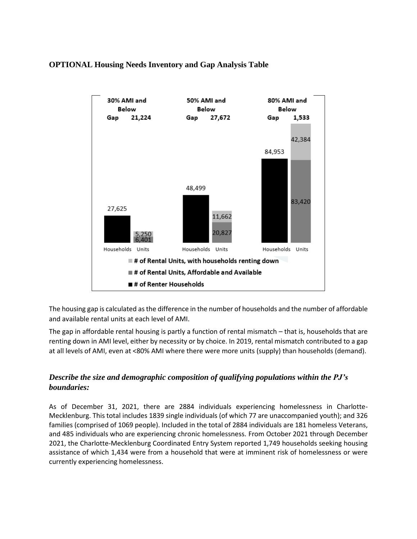#### **OPTIONAL Housing Needs Inventory and Gap Analysis Table**



The housing gap is calculated as the difference in the number of households and the number of affordable and available rental units at each level of AMI.

The gap in affordable rental housing is partly a function of rental mismatch – that is, households that are renting down in AMI level, either by necessity or by choice. In 2019, rental mismatch contributed to a gap at all levels of AMI, even at <80% AMI where there were more units (supply) than households (demand).

#### *Describe the size and demographic composition of qualifying populations within the PJ's boundaries:*

As of December 31, 2021, there are 2884 individuals experiencing homelessness in Charlotte-Mecklenburg. This total includes 1839 single individuals (of which 77 are unaccompanied youth); and 326 families (comprised of 1069 people). Included in the total of 2884 individuals are 181 homeless Veterans, and 485 individuals who are experiencing chronic homelessness. From October 2021 through December 2021, the Charlotte-Mecklenburg Coordinated Entry System reported 1,749 households seeking housing assistance of which 1,434 were from a household that were at imminent risk of homelessness or were currently experiencing homelessness.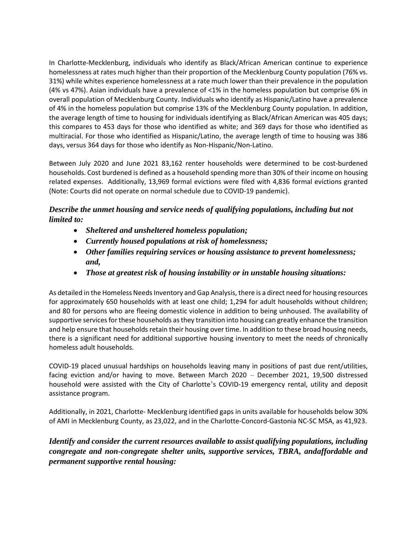In Charlotte-Mecklenburg, individuals who identify as Black/African American continue to experience homelessness at rates much higher than their proportion of the Mecklenburg County population (76% vs. 31%) while whites experience homelessness at a rate much lower than their prevalence in the population (4% vs 47%). Asian individuals have a prevalence of <1% in the homeless population but comprise 6% in overall population of Mecklenburg County. Individuals who identify as Hispanic/Latino have a prevalence of 4% in the homeless population but comprise 13% of the Mecklenburg County population. In addition, the average length of time to housing for individuals identifying as Black/African American was 405 days; this compares to 453 days for those who identified as white; and 369 days for those who identified as multiracial. For those who identified as Hispanic/Latino, the average length of time to housing was 386 days, versus 364 days for those who identify as Non-Hispanic/Non-Latino.

Between July 2020 and June 2021 83,162 renter households were determined to be cost-burdened households. Cost burdened is defined as a household spending more than 30% of their income on housing related expenses. Additionally, 13,969 formal evictions were filed with 4,836 formal evictions granted (Note: Courts did not operate on normal schedule due to COVID-19 pandemic).

## *Describe the unmet housing and service needs of qualifying populations, including but not limited to:*

- *Sheltered and unsheltered homeless population;*
- *Currently housed populations at risk of homelessness;*
- *Other families requiring services or housing assistance to prevent homelessness; and,*
- *Those at greatest risk of housing instability or in unstable housing situations:*

As detailed in the Homeless Needs Inventory and Gap Analysis, there is a direct need for housing resources for approximately 650 households with at least one child; 1,294 for adult households without children; and 80 for persons who are fleeing domestic violence in addition to being unhoused. The availability of supportive services for these households as they transition into housing can greatly enhance the transition and help ensure that households retain their housing over time. In addition to these broad housing needs, there is a significant need for additional supportive housing inventory to meet the needs of chronically homeless adult households.

COVID-19 placed unusual hardships on households leaving many in positions of past due rent/utilities, facing eviction and/or having to move. Between March 2020 – December 2021, 19,500 distressed household were assisted with the City of Charlotte's COVID-19 emergency rental, utility and deposit assistance program.

Additionally, in 2021, Charlotte- Mecklenburg identified gaps in units available for households below 30% of AMI in Mecklenburg County, as 23,022, and in the Charlotte-Concord-Gastonia NC-SC MSA, as 41,923.

*Identify and consider the current resources available to assist qualifying populations, including congregate and non-congregate shelter units, supportive services, TBRA, andaffordable and permanent supportive rental housing:*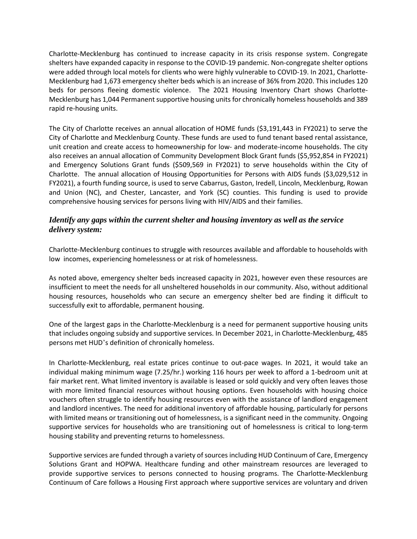Charlotte-Mecklenburg has continued to increase capacity in its crisis response system. Congregate shelters have expanded capacity in response to the COVID-19 pandemic. Non-congregate shelter options were added through local motels for clients who were highly vulnerable to COVID-19. In 2021, Charlotte-Mecklenburg had 1,673 emergency shelter beds which is an increase of 36% from 2020. This includes 120 beds for persons fleeing domestic violence. The 2021 Housing Inventory Chart shows Charlotte-Mecklenburg has 1,044 Permanent supportive housing units for chronically homeless households and 389 rapid re-housing units.

The City of Charlotte receives an annual allocation of HOME funds (\$3,191,443 in FY2021) to serve the City of Charlotte and Mecklenburg County. These funds are used to fund tenant based rental assistance, unit creation and create access to homeownership for low- and moderate-income households. The city also receives an annual allocation of Community Development Block Grant funds (\$5,952,854 in FY2021) and Emergency Solutions Grant funds (\$509,569 in FY2021) to serve households within the City of Charlotte. The annual allocation of Housing Opportunities for Persons with AIDS funds (\$3,029,512 in FY2021), a fourth funding source, is used to serve Cabarrus, Gaston, Iredell, Lincoln, Mecklenburg, Rowan and Union (NC), and Chester, Lancaster, and York (SC) counties. This funding is used to provide comprehensive housing services for persons living with HIV/AIDS and their families.

#### *Identify any gaps within the current shelter and housing inventory as well as the service delivery system:*

Charlotte-Mecklenburg continues to struggle with resources available and affordable to households with low incomes, experiencing homelessness or at risk of homelessness.

As noted above, emergency shelter beds increased capacity in 2021, however even these resources are insufficient to meet the needs for all unsheltered households in our community. Also, without additional housing resources, households who can secure an emergency shelter bed are finding it difficult to successfully exit to affordable, permanent housing.

One of the largest gaps in the Charlotte-Mecklenburg is a need for permanent supportive housing units that includes ongoing subsidy and supportive services. In December 2021, in Charlotte-Mecklenburg, 485 persons met HUD's definition of chronically homeless.

In Charlotte-Mecklenburg, real estate prices continue to out-pace wages. In 2021, it would take an individual making minimum wage (7.25/hr.) working 116 hours per week to afford a 1-bedroom unit at fair market rent. What limited inventory is available is leased or sold quickly and very often leaves those with more limited financial resources without housing options. Even households with housing choice vouchers often struggle to identify housing resources even with the assistance of landlord engagement and landlord incentives. The need for additional inventory of affordable housing, particularly for persons with limited means or transitioning out of homelessness, is a significant need in the community. Ongoing supportive services for households who are transitioning out of homelessness is critical to long-term housing stability and preventing returns to homelessness.

Supportive services are funded through a variety of sources including HUD Continuum of Care, Emergency Solutions Grant and HOPWA. Healthcare funding and other mainstream resources are leveraged to provide supportive services to persons connected to housing programs. The Charlotte-Mecklenburg Continuum of Care follows a Housing First approach where supportive services are voluntary and driven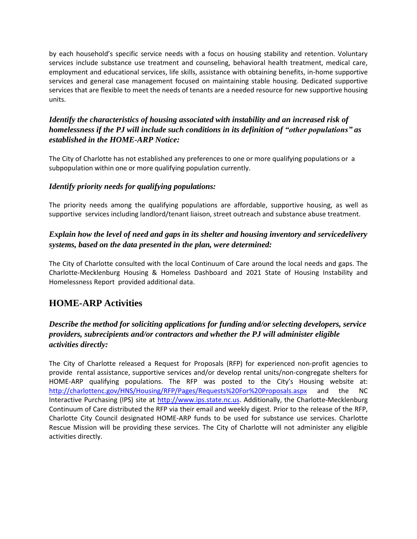by each household's specific service needs with a focus on housing stability and retention. Voluntary services include substance use treatment and counseling, behavioral health treatment, medical care, employment and educational services, life skills, assistance with obtaining benefits, in-home supportive services and general case management focused on maintaining stable housing. Dedicated supportive services that are flexible to meet the needs of tenants are a needed resource for new supportive housing units.

## *Identify the characteristics of housing associated with instability and an increased risk of homelessness if the PJ will include such conditions in its definition of "other populations" as established in the HOME-ARP Notice:*

The City of Charlotte has not established any preferences to one or more qualifying populations or a subpopulation within one or more qualifying population currently.

#### *Identify priority needs for qualifying populations:*

The priority needs among the qualifying populations are affordable, supportive housing, as well as supportive services including landlord/tenant liaison, street outreach and substance abuse treatment.

#### *Explain how the level of need and gaps in its shelter and housing inventory and servicedelivery systems, based on the data presented in the plan, were determined:*

The City of Charlotte consulted with the local Continuum of Care around the local needs and gaps. The Charlotte-Mecklenburg Housing & Homeless Dashboard and 2021 State of Housing Instability and Homelessness Report provided additional data.

# **HOME-ARP Activities**

## *Describe the method for soliciting applications for funding and/or selecting developers, service providers, subrecipients and/or contractors and whether the PJ will administer eligible activities directly:*

The City of Charlotte released a Request for Proposals (RFP) for experienced non-profit agencies to provide rental assistance, supportive services and/or develop rental units/non-congregate shelters for HOME-ARP qualifying populations. The RFP was posted to the City's Housing website at: <http://charlottenc.gov/HNS/Housing/RFP/Pages/Requests%20For%20Proposals.aspx> and the NC Interactive Purchasing (IPS) site at [http://www.ips.state.nc.us.](http://www.ips.state.nc.us/) Additionally, the Charlotte-Mecklenburg Continuum of Care distributed the RFP via their email and weekly digest. Prior to the release of the RFP, Charlotte City Council designated HOME-ARP funds to be used for substance use services. Charlotte Rescue Mission will be providing these services. The City of Charlotte will not administer any eligible activities directly.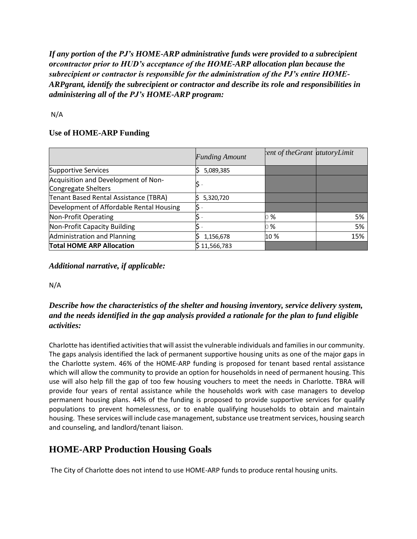*If any portion of the PJ's HOME-ARP administrative funds were provided to a subrecipient orcontractor prior to HUD's acceptance of the HOME-ARP allocation plan because the subrecipient or contractor is responsible for the administration of the PJ's entire HOME-ARPgrant, identify the subrecipient or contractor and describe its role and responsibilities in administering all of the PJ's HOME-ARP program:*

N/A

#### **Use of HOME-ARP Funding**

|                                                            | <b>Funding Amount</b> | ent of the Grant atutory Limit |     |
|------------------------------------------------------------|-----------------------|--------------------------------|-----|
| <b>Supportive Services</b>                                 | 5,089,385             |                                |     |
| Acquisition and Development of Non-<br>Congregate Shelters |                       |                                |     |
| Tenant Based Rental Assistance (TBRA)                      | 5,320,720             |                                |     |
| Development of Affordable Rental Housing                   |                       |                                |     |
| Non-Profit Operating                                       |                       | 0 %                            | 5%  |
| Non-Profit Capacity Building                               |                       | 0 %                            | 5%  |
| Administration and Planning                                | 1,156,678             | 10 %                           | 15% |
| <b>Total HOME ARP Allocation</b>                           | \$11,566,783          |                                |     |

*Additional narrative, if applicable:*

N/A

## *Describe how the characteristics of the shelter and housing inventory, service delivery system, and the needs identified in the gap analysis provided a rationale for the plan to fund eligible activities:*

Charlotte has identified activities that will assist the vulnerable individuals and families in our community. The gaps analysis identified the lack of permanent supportive housing units as one of the major gaps in the Charlotte system. 46% of the HOME-ARP funding is proposed for tenant based rental assistance which will allow the community to provide an option for households in need of permanent housing. This use will also help fill the gap of too few housing vouchers to meet the needs in Charlotte. TBRA will provide four years of rental assistance while the households work with case managers to develop permanent housing plans. 44% of the funding is proposed to provide supportive services for qualify populations to prevent homelessness, or to enable qualifying households to obtain and maintain housing. These services will include case management, substance use treatment services, housing search and counseling, and landlord/tenant liaison.

# **HOME-ARP Production Housing Goals**

The City of Charlotte does not intend to use HOME-ARP funds to produce rental housing units.